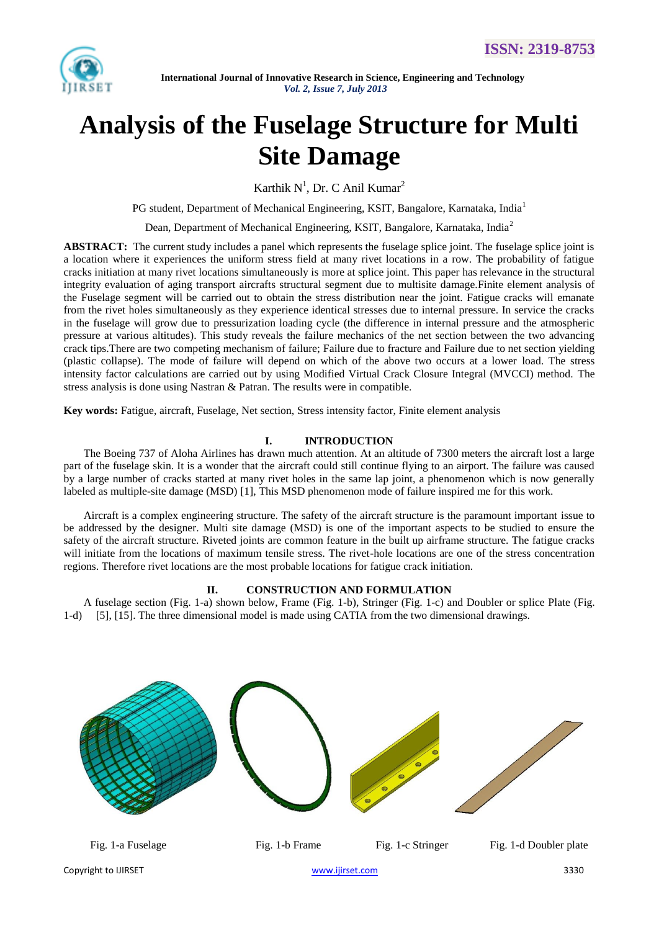

# **Analysis of the Fuselage Structure for Multi Site Damage**

Karthik  $N^1$ , Dr. C Anil Kumar<sup>2</sup>

PG student, Department of Mechanical Engineering, KSIT, Bangalore, Karnataka, India<sup>1</sup>

Dean, Department of Mechanical Engineering, KSIT, Bangalore, Karnataka, India<sup>2</sup>

**ABSTRACT:** The current study includes a panel which represents the fuselage splice joint. The fuselage splice joint is a location where it experiences the uniform stress field at many rivet locations in a row. The probability of fatigue cracks initiation at many rivet locations simultaneously is more at splice joint. This paper has relevance in the structural integrity evaluation of aging transport aircrafts structural segment due to multisite damage.Finite element analysis of the Fuselage segment will be carried out to obtain the stress distribution near the joint. Fatigue cracks will emanate from the rivet holes simultaneously as they experience identical stresses due to internal pressure. In service the cracks in the fuselage will grow due to pressurization loading cycle (the difference in internal pressure and the atmospheric pressure at various altitudes). This study reveals the failure mechanics of the net section between the two advancing crack tips.There are two competing mechanism of failure; Failure due to fracture and Failure due to net section yielding (plastic collapse). The mode of failure will depend on which of the above two occurs at a lower load. The stress intensity factor calculations are carried out by using Modified Virtual Crack Closure Integral (MVCCI) method. The stress analysis is done using Nastran & Patran. The results were in compatible.

**Key words:** Fatigue, aircraft, Fuselage, Net section, Stress intensity factor, Finite element analysis

## **I. INTRODUCTION**

The Boeing 737 of Aloha Airlines has drawn much attention. At an altitude of 7300 meters the aircraft lost a large part of the fuselage skin. It is a wonder that the aircraft could still continue flying to an airport. The failure was caused by a large number of cracks started at many rivet holes in the same lap joint, a phenomenon which is now generally labeled as multiple-site damage (MSD) [1], This MSD phenomenon mode of failure inspired me for this work.

Aircraft is a complex engineering structure. The safety of the aircraft structure is the paramount important issue to be addressed by the designer. Multi site damage (MSD) is one of the important aspects to be studied to ensure the safety of the aircraft structure. Riveted joints are common feature in the built up airframe structure. The fatigue cracks will initiate from the locations of maximum tensile stress. The rivet-hole locations are one of the stress concentration regions. Therefore rivet locations are the most probable locations for fatigue crack initiation.

#### **II. CONSTRUCTION AND FORMULATION**

A fuselage section (Fig. 1-a) shown below, Frame (Fig. 1-b), Stringer (Fig. 1-c) and Doubler or splice Plate (Fig. 1-d) [5], [15]. The three dimensional model is made using CATIA from the two dimensional drawings.

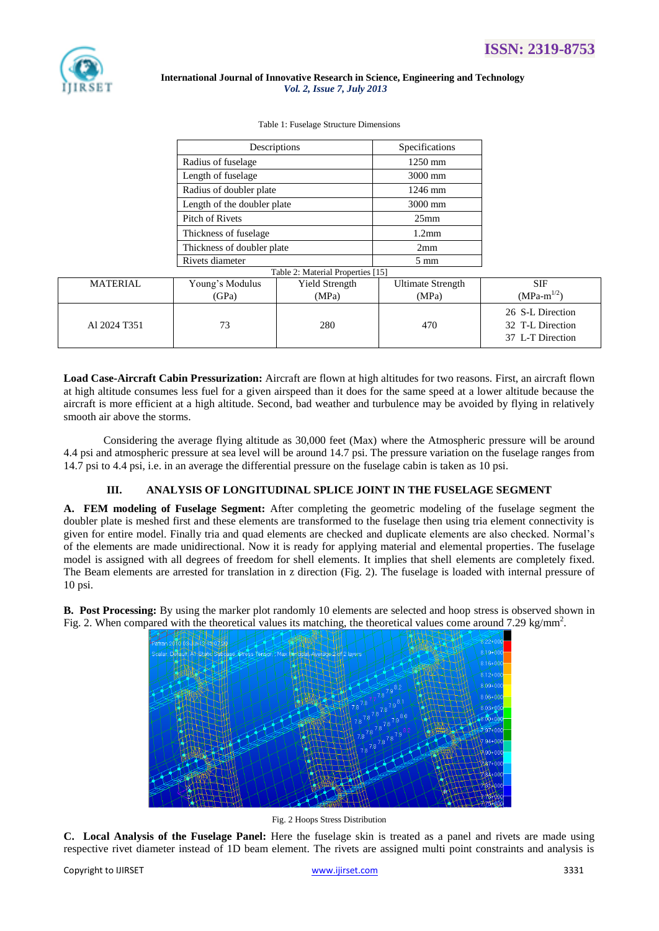

| Table 1: Fuselage Structure Dimensions |  |
|----------------------------------------|--|
|----------------------------------------|--|

|                                   | Descriptions                |                | Specifications           |                                                          |
|-----------------------------------|-----------------------------|----------------|--------------------------|----------------------------------------------------------|
|                                   | Radius of fuselage          |                | 1250 mm                  |                                                          |
|                                   | Length of fuselage          |                | 3000 mm                  |                                                          |
|                                   | Radius of doubler plate     |                | $1246$ mm                |                                                          |
|                                   | Length of the doubler plate |                | 3000 mm                  |                                                          |
|                                   | Pitch of Rivets             |                | 25mm                     |                                                          |
|                                   | Thickness of fuselage       |                | 1.2 <sub>mm</sub>        |                                                          |
|                                   | Thickness of doubler plate  |                | 2mm                      |                                                          |
|                                   | Rivets diameter             |                | $5 \text{ mm}$           |                                                          |
| Table 2: Material Properties [15] |                             |                |                          |                                                          |
| <b>MATERIAL</b>                   | Young's Modulus             | Yield Strength | <b>Ultimate Strength</b> | <b>SIF</b>                                               |
|                                   | (GPa)                       | (MPa)          | (MPa)                    | $(MPa-m^{1/2})$                                          |
| Al 2024 T351                      | 73                          | 280            | 470                      | 26 S-L Direction<br>32 T-L Direction<br>37 L-T Direction |

**Load Case-Aircraft Cabin Pressurization:** Aircraft are flown at high altitudes for two reasons. First, an aircraft flown at high altitude consumes less fuel for a given airspeed than it does for the same speed at a lower altitude because the aircraft is more efficient at a high altitude. Second, bad weather and turbulence may be avoided by flying in relatively smooth air above the storms.

Considering the average flying altitude as 30,000 feet (Max) where the Atmospheric pressure will be around 4.4 psi and atmospheric pressure at sea level will be around 14.7 psi. The pressure variation on the fuselage ranges from 14.7 psi to 4.4 psi, i.e. in an average the differential pressure on the fuselage cabin is taken as 10 psi.

## **III. ANALYSIS OF LONGITUDINAL SPLICE JOINT IN THE FUSELAGE SEGMENT**

**A. FEM modeling of Fuselage Segment:** After completing the geometric modeling of the fuselage segment the doubler plate is meshed first and these elements are transformed to the fuselage then using tria element connectivity is given for entire model. Finally tria and quad elements are checked and duplicate elements are also checked. Normal's of the elements are made unidirectional. Now it is ready for applying material and elemental properties. The fuselage model is assigned with all degrees of freedom for shell elements. It implies that shell elements are completely fixed. The Beam elements are arrested for translation in z direction (Fig. 2). The fuselage is loaded with internal pressure of 10 psi.

**B. Post Processing:** By using the marker plot randomly 10 elements are selected and hoop stress is observed shown in Fig. 2. When compared with the theoretical values its matching, the theoretical values come around 7.29 kg/mm<sup>2</sup>.



Fig. 2 Hoops Stress Distribution

**C. Local Analysis of the Fuselage Panel:** Here the fuselage skin is treated as a panel and rivets are made using respective rivet diameter instead of 1D beam element. The rivets are assigned multi point constraints and analysis is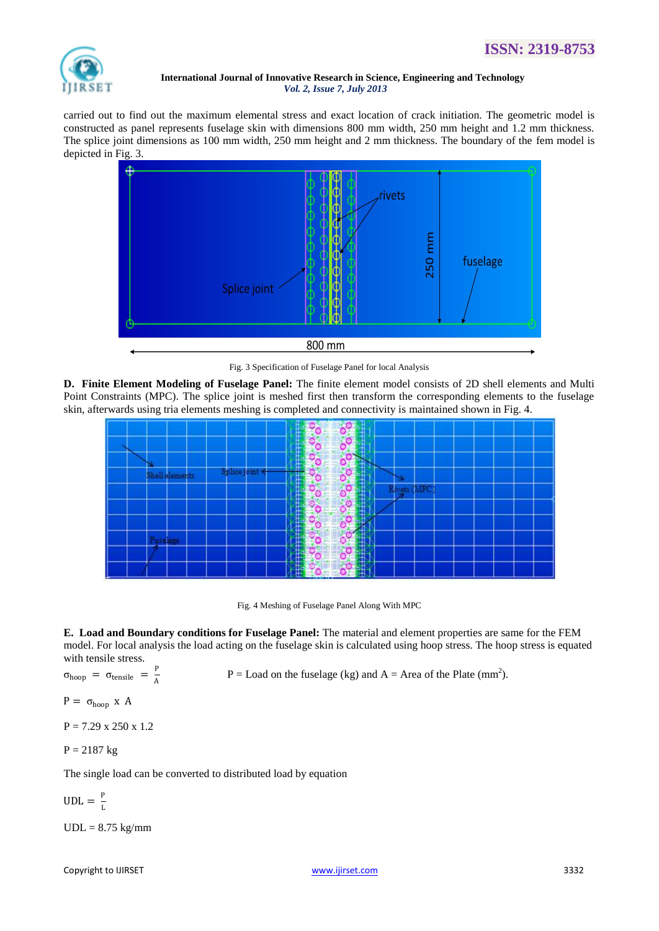

carried out to find out the maximum elemental stress and exact location of crack initiation. The geometric model is constructed as panel represents fuselage skin with dimensions 800 mm width, 250 mm height and 1.2 mm thickness. The splice joint dimensions as 100 mm width, 250 mm height and 2 mm thickness. The boundary of the fem model is depicted in Fig. 3.





**D. Finite Element Modeling of Fuselage Panel:** The finite element model consists of 2D shell elements and Multi Point Constraints (MPC). The splice joint is meshed first then transform the corresponding elements to the fuselage skin, afterwards using tria elements meshing is completed and connectivity is maintained shown in Fig. 4.

| 0 T<br>n a                                             |
|--------------------------------------------------------|
| ā<br>ö<br>۰<br>۰<br>r.<br>w                            |
| 9<br>٥º<br>o<br>Ш<br>н.                                |
| $\frac{1}{2}$                                          |
| 4D)<br>4<br>O<br>÷<br>o                                |
| ģ<br>۰<br>Ħ<br>$\frac{1}{2}$<br>÷                      |
| n e<br>E<br>₩<br>о                                     |
| ×<br>ρř.<br><b>HEREBY</b><br>ο<br>$\frac{1}{\sqrt{2}}$ |
| $\circ$<br>O<br>Ŧ<br>w                                 |
|                                                        |

Fig. 4 Meshing of Fuselage Panel Along With MPC

**E. Load and Boundary conditions for Fuselage Panel:** The material and element properties are same for the FEM model. For local analysis the load acting on the fuselage skin is calculated using hoop stress. The hoop stress is equated with tensile stress.

 $\sigma_{\text{hoop}} = \sigma_{\text{tensile}} = \frac{P}{A}$ A

 $P =$  Load on the fuselage (kg) and  $A =$  Area of the Plate (mm<sup>2</sup>).

 $P = \sigma_{hoop}$  x A

 $P = 7.29 \times 250 \times 1.2$ 

$$
P = 2187 \text{ kg}
$$

The single load can be converted to distributed load by equation

 $UDL = \frac{P}{I}$ L

 $UDL = 8.75$  kg/mm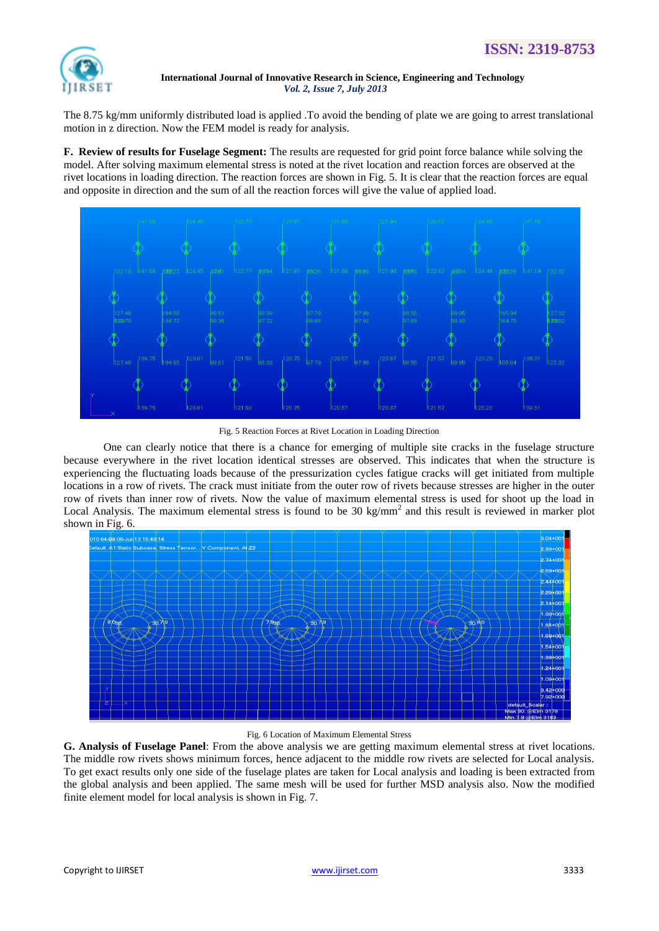

The 8.75 kg/mm uniformly distributed load is applied .To avoid the bending of plate we are going to arrest translational motion in z direction. Now the FEM model is ready for analysis.

**F. Review of results for Fuselage Segment:** The results are requested for grid point force balance while solving the model. After solving maximum elemental stress is noted at the rivet location and reaction forces are observed at the rivet locations in loading direction. The reaction forces are shown in Fig. 5. It is clear that the reaction forces are equal and opposite in direction and the sum of all the reaction forces will give the value of applied load.



Fig. 5 Reaction Forces at Rivet Location in Loading Direction

One can clearly notice that there is a chance for emerging of multiple site cracks in the fuselage structure because everywhere in the rivet location identical stresses are observed. This indicates that when the structure is experiencing the fluctuating loads because of the pressurization cycles fatigue cracks will get initiated from multiple locations in a row of rivets. The crack must initiate from the outer row of rivets because stresses are higher in the outer row of rivets than inner row of rivets. Now the value of maximum elemental stress is used for shoot up the load in Local Analysis. The maximum elemental stress is found to be 30 kg/mm<sup>2</sup> and this result is reviewed in marker plot shown in Fig. 6.



#### Fig. 6 Location of Maximum Elemental Stress

**G. Analysis of Fuselage Panel**: From the above analysis we are getting maximum elemental stress at rivet locations. The middle row rivets shows minimum forces, hence adjacent to the middle row rivets are selected for Local analysis. To get exact results only one side of the fuselage plates are taken for Local analysis and loading is been extracted from the global analysis and been applied. The same mesh will be used for further MSD analysis also. Now the modified finite element model for local analysis is shown in Fig. 7.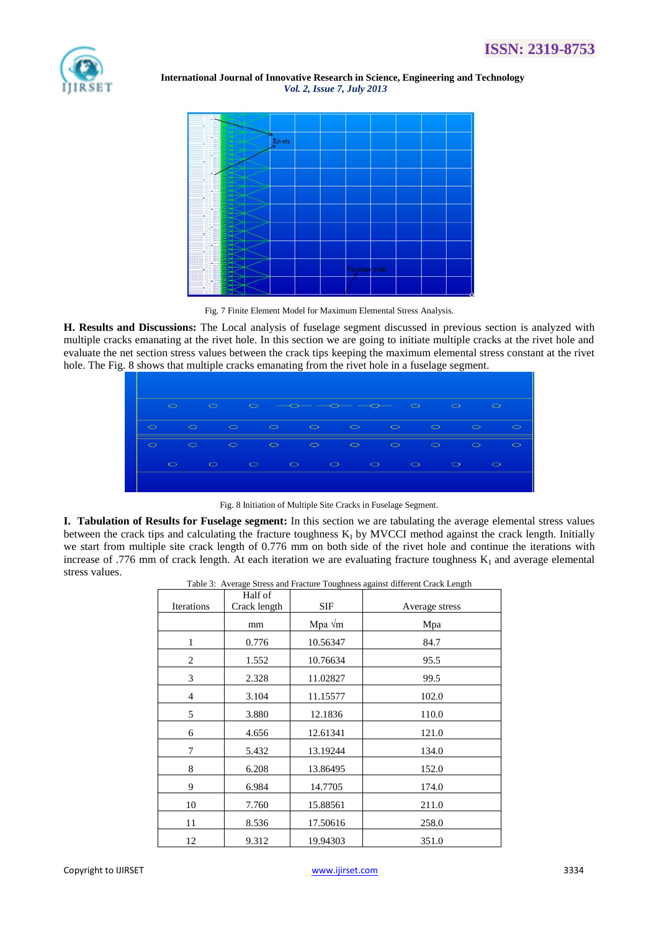



Fig. 7 Finite Element Model for Maximum Elemental Stress Analysis.

**H. Results and Discussions:** The Local analysis of fuselage segment discussed in previous section is analyzed with multiple cracks emanating at the rivet hole. In this section we are going to initiate multiple cracks at the rivet hole and evaluate the net section stress values between the crack tips keeping the maximum elemental stress constant at the rivet hole. The Fig. 8 shows that multiple cracks emanating from the rivet hole in a fuselage segment.



Fig. 8 Initiation of Multiple Site Cracks in Fuselage Segment.

**I. Tabulation of Results for Fuselage segment:** In this section we are tabulating the average elemental stress values between the crack tips and calculating the fracture toughness  $K_I$  by MVCCI method against the crack length. Initially we start from multiple site crack length of 0.776 mm on both side of the rivet hole and continue the iterations with increase of .776 mm of crack length. At each iteration we are evaluating fracture toughness  $K_I$  and average elemental stress values.

|         | Table 3: Average Stress and Fracture Toughness against different Crack Length |  |
|---------|-------------------------------------------------------------------------------|--|
| Half of |                                                                               |  |

| <b>Iterations</b> | Half of<br>Crack length | <b>SIF</b>     | Average stress |
|-------------------|-------------------------|----------------|----------------|
|                   | mm                      | Mpa $\sqrt{m}$ | Mpa            |
| 1                 | 0.776                   | 10.56347       | 84.7           |
| 2                 | 1.552                   | 10.76634       | 95.5           |
| 3                 | 2.328                   | 11.02827       | 99.5           |
| $\overline{4}$    | 3.104                   | 11.15577       | 102.0          |
| 5                 | 3.880                   | 12.1836        | 110.0          |
| 6                 | 4.656                   | 12.61341       | 121.0          |
| 7                 | 5.432                   | 13.19244       | 134.0          |
| 8                 | 6.208                   | 13.86495       | 152.0          |
| 9                 | 6.984                   | 14.7705        | 174.0          |
| 10                | 7.760                   | 15.88561       | 211.0          |
| 11                | 8.536                   | 17.50616       | 258.0          |
| 12                | 9.312                   | 19.94303       | 351.0          |